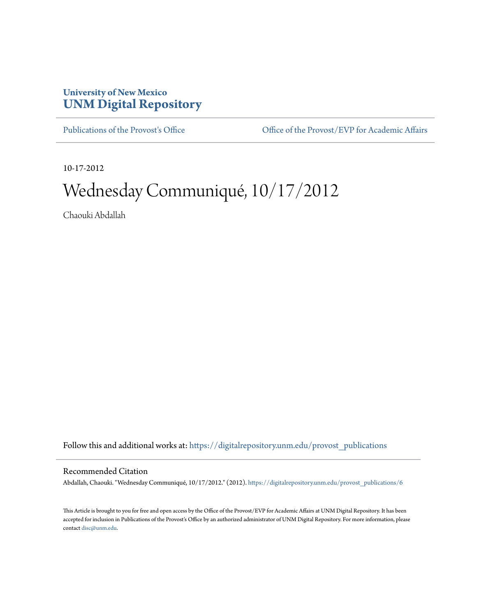## **University of New Mexico [UNM Digital Repository](https://digitalrepository.unm.edu?utm_source=digitalrepository.unm.edu%2Fprovost_publications%2F6&utm_medium=PDF&utm_campaign=PDFCoverPages)**

[Publications of the Provost's Office](https://digitalrepository.unm.edu/provost_publications?utm_source=digitalrepository.unm.edu%2Fprovost_publications%2F6&utm_medium=PDF&utm_campaign=PDFCoverPages) Office [Office of the Provost/EVP for Academic Affairs](https://digitalrepository.unm.edu/ofc_provost?utm_source=digitalrepository.unm.edu%2Fprovost_publications%2F6&utm_medium=PDF&utm_campaign=PDFCoverPages)

10-17-2012

# Wednesday Communiqué, 10/17/2012

Chaouki Abdallah

Follow this and additional works at: [https://digitalrepository.unm.edu/provost\\_publications](https://digitalrepository.unm.edu/provost_publications?utm_source=digitalrepository.unm.edu%2Fprovost_publications%2F6&utm_medium=PDF&utm_campaign=PDFCoverPages)

#### Recommended Citation

Abdallah, Chaouki. "Wednesday Communiqué, 10/17/2012." (2012). [https://digitalrepository.unm.edu/provost\\_publications/6](https://digitalrepository.unm.edu/provost_publications/6?utm_source=digitalrepository.unm.edu%2Fprovost_publications%2F6&utm_medium=PDF&utm_campaign=PDFCoverPages)

This Article is brought to you for free and open access by the Office of the Provost/EVP for Academic Affairs at UNM Digital Repository. It has been accepted for inclusion in Publications of the Provost's Office by an authorized administrator of UNM Digital Repository. For more information, please contact [disc@unm.edu.](mailto:disc@unm.edu)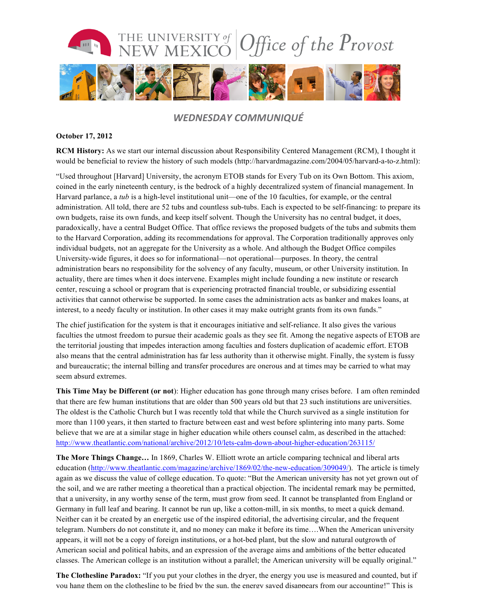

### *WEDNESDAY COMMUNIQUÉ*

#### **October 17, 2012**

**RCM History:** As we start our internal discussion about Responsibility Centered Management (RCM), I thought it would be beneficial to review the history of such models (http://harvardmagazine.com/2004/05/harvard-a-to-z.html):

"Used throughout [Harvard] University, the acronym ETOB stands for Every Tub on its Own Bottom. This axiom, coined in the early nineteenth century, is the bedrock of a highly decentralized system of financial management. In Harvard parlance, a *tub* is a high-level institutional unit—one of the 10 faculties, for example, or the central administration. All told, there are 52 tubs and countless sub-tubs. Each is expected to be self-financing: to prepare its own budgets, raise its own funds, and keep itself solvent. Though the University has no central budget, it does, paradoxically, have a central Budget Office. That office reviews the proposed budgets of the tubs and submits them to the Harvard Corporation, adding its recommendations for approval. The Corporation traditionally approves only individual budgets, not an aggregate for the University as a whole. And although the Budget Office compiles University-wide figures, it does so for informational—not operational—purposes. In theory, the central administration bears no responsibility for the solvency of any faculty, museum, or other University institution. In actuality, there are times when it does intervene. Examples might include founding a new institute or research center, rescuing a school or program that is experiencing protracted financial trouble, or subsidizing essential activities that cannot otherwise be supported. In some cases the administration acts as banker and makes loans, at interest, to a needy faculty or institution. In other cases it may make outright grants from its own funds."

The chief justification for the system is that it encourages initiative and self-reliance. It also gives the various faculties the utmost freedom to pursue their academic goals as they see fit. Among the negative aspects of ETOB are the territorial jousting that impedes interaction among faculties and fosters duplication of academic effort. ETOB also means that the central administration has far less authority than it otherwise might. Finally, the system is fussy and bureaucratic; the internal billing and transfer procedures are onerous and at times may be carried to what may seem absurd extremes.

**This Time May be Different (or not**): Higher education has gone through many crises before. I am often reminded that there are few human institutions that are older than 500 years old but that 23 such institutions are universities. The oldest is the Catholic Church but I was recently told that while the Church survived as a single institution for more than 1100 years, it then started to fracture between east and west before splintering into many parts. Some believe that we are at a similar stage in higher education while others counsel calm, as described in the attached: http://www.theatlantic.com/national/archive/2012/10/lets-calm-down-about-higher-education/263115/

**The More Things Change…** In 1869, Charles W. Elliott wrote an article comparing technical and liberal arts education (http://www.theatlantic.com/magazine/archive/1869/02/the-new-education/309049/). The article is timely again as we discuss the value of college education. To quote: "But the American university has not yet grown out of the soil, and we are rather meeting a theoretical than a practical objection. The incidental remark may be permitted, that a university, in any worthy sense of the term, must grow from seed. It cannot be transplanted from England or Germany in full leaf and bearing. It cannot be run up, like a cotton-mill, in six months, to meet a quick demand. Neither can it be created by an energetic use of the inspired editorial, the advertising circular, and the frequent telegram. Numbers do not constitute it, and no money can make it before its time….When the American university appears, it will not be a copy of foreign institutions, or a hot-bed plant, but the slow and natural outgrowth of American social and political habits, and an expression of the average aims and ambitions of the better educated classes. The American college is an institution without a parallel; the American university will be equally original."

**The Clothesline Paradox:** "If you put your clothes in the dryer, the energy you use is measured and counted, but if you hang them on the clothesline to be fried by the sun, the energy saved disappears from our accounting!" This is